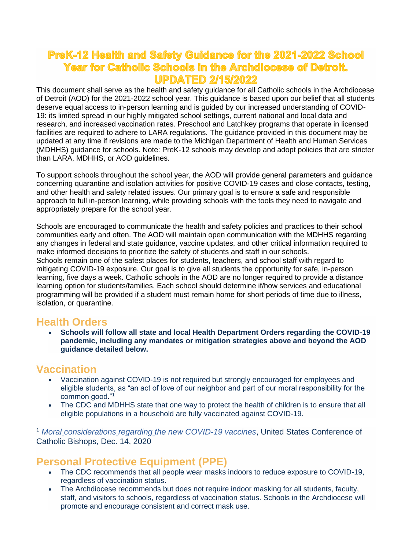#### PreK-12 Health and Safety Guidance for the 2021-2022 School Year for Catholic Schools in the Archdiocese of Detroit. **UPDATED 2/15/2022**

This document shall serve as the health and safety guidance for all Catholic schools in the Archdiocese of Detroit (AOD) for the 2021-2022 school year. This guidance is based upon our belief that all students deserve equal access to in-person learning and is guided by our increased understanding of COVID-19: its limited spread in our highly mitigated school settings, current national and local data and research, and increased vaccination rates. Preschool and Latchkey programs that operate in licensed facilities are required to adhere to LARA regulations. The guidance provided in this document may be updated at any time if revisions are made to the Michigan Department of Health and Human Services (MDHHS) guidance for schools. Note: PreK-12 schools may develop and adopt policies that are stricter than LARA, MDHHS, or AOD guidelines.

To support schools throughout the school year, the AOD will provide general parameters and guidance concerning quarantine and isolation activities for positive COVID-19 cases and close contacts, testing, and other health and safety related issues. Our primary goal is to ensure a safe and responsible approach to full in-person learning, while providing schools with the tools they need to navigate and appropriately prepare for the school year.

Schools are encouraged to communicate the health and safety policies and practices to their school communities early and often. The AOD will maintain open communication with the MDHHS regarding any changes in federal and state guidance, vaccine updates, and other critical information required to make informed decisions to prioritize the safety of students and staff in our schools. Schools remain one of the safest places for students, teachers, and school staff with regard to mitigating COVID-19 exposure. Our goal is to give all students the opportunity for safe, in-person learning, five days a week. Catholic schools in the AOD are no longer required to provide a distance learning option for students/families. Each school should determine if/how services and educational programming will be provided if a student must remain home for short periods of time due to illness, isolation, or quarantine.

#### **Health Orders**

• **Schools will follow all state and local Health Department Orders regarding the COVID-19 pandemic, including any mandates or mitigation strategies above and beyond the AOD guidance detailed below.**

#### **Vaccination**

- Vaccination against COVID-19 is not required but strongly encouraged for employees and eligible students, as "an act of love of our neighbor and part of our moral responsibility for the common good."<sup>1</sup>
- The CDC and MDHHS state that one way to protect the health of children is to ensure that all eligible populations in a household are fully vaccinated against COVID-19.

<sup>1</sup> *Moral considerations regarding [the new COVID-19 vaccines](https://www.usccb.org/moral-considerations-covid-vaccines)*, United States Conference of Catholic Bishops, Dec. 14, 2020

#### **Personal Protective Equipment (PPE)**

- The CDC recommends that all people wear masks indoors to reduce exposure to COVID-19, regardless of vaccination status.
- The Archdiocese recommends but does not require indoor masking for all students, faculty, staff, and visitors to schools, regardless of vaccination status. Schools in the Archdiocese will promote and encourage consistent and correct mask use.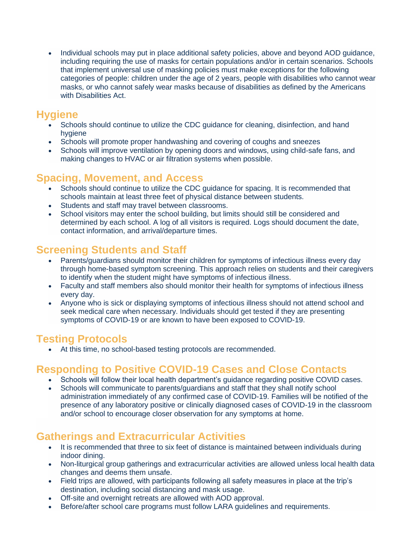• Individual schools may put in place additional safety policies, above and beyond AOD guidance, including requiring the use of masks for certain populations and/or in certain scenarios. Schools that implement universal use of masking policies must make exceptions for the following categories of people: children under the age of 2 years, people with disabilities who cannot wear masks, or who cannot safely wear masks because of disabilities as defined by the Americans with Disabilities Act.

### **Hygiene**

- Schools should continue to utilize the CDC guidance for cleaning, disinfection, and hand hygiene
- Schools will promote proper handwashing and covering of coughs and sneezes
- Schools will improve ventilation by opening doors and windows, using child-safe fans, and making changes to HVAC or air filtration systems when possible.

### **Spacing, Movement, and Access**

- Schools should continue to utilize the CDC quidance for spacing. It is recommended that schools maintain at least three feet of physical distance between students.
- Students and staff may travel between classrooms.
- School visitors may enter the school building, but limits should still be considered and determined by each school. A log of all visitors is required. Logs should document the date, contact information, and arrival/departure times.

#### **Screening Students and Staff**

- Parents/guardians should monitor their children for symptoms of infectious illness every day through home-based symptom screening. This approach relies on students and their caregivers to identify when the student might have symptoms of infectious illness.
- Faculty and staff members also should monitor their health for symptoms of infectious illness every day.
- Anyone who is sick or displaying symptoms of infectious illness should not attend school and seek medical care when necessary. Individuals should get tested if they are presenting symptoms of COVID-19 or are known to have been exposed to COVID-19.

### **Testing Protocols**

• At this time, no school-based testing protocols are recommended.

#### **Responding to Positive COVID-19 Cases and Close Contacts**

- Schools will follow their local health department's quidance regarding positive COVID cases.
- Schools will communicate to parents/guardians and staff that they shall notify school administration immediately of any confirmed case of COVID-19. Families will be notified of the presence of any laboratory positive or clinically diagnosed cases of COVID-19 in the classroom and/or school to encourage closer observation for any symptoms at home.

#### **Gatherings and Extracurricular Activities**

- It is recommended that three to six feet of distance is maintained between individuals during indoor dining.
- Non-liturgical group gatherings and extracurricular activities are allowed unless local health data changes and deems them unsafe.
- Field trips are allowed, with participants following all safety measures in place at the trip's destination, including social distancing and mask usage.
- Off-site and overnight retreats are allowed with AOD approval.
- Before/after school care programs must follow LARA guidelines and requirements.